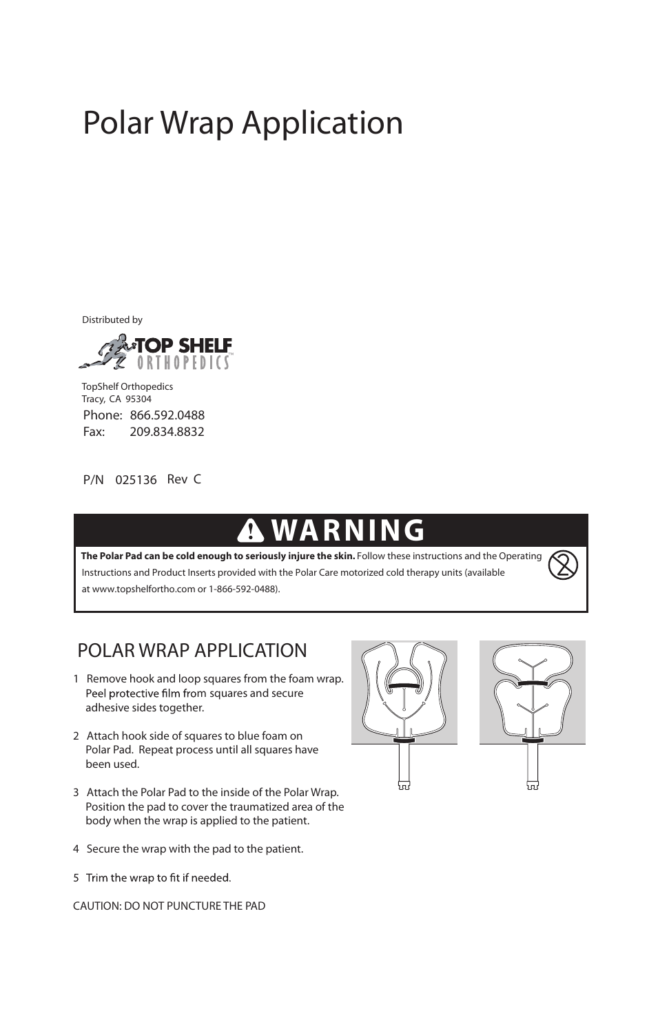# Polar Wrap Application

Distributed by



Phone: 866.592.0488<br>Fax: 209.834.8832 209.834.8832 TopShelf Orthopedics Tracy, CA 95304

P/N 025136 Rev C

## **WARNING**

at www.topshelfortho.com or 1-866-592-0488). The Polar Pad can be cold enough to seriously injure the skin. Follow these instructions and the Operating Instructions and Product Inserts provided with the Polar Care motorized cold therapy units (available

### POLAR WRAP APPLICATION

- 1 Remove hook and loop squares from the foam wrap. Peel protective film from squares and secure adhesive sides together.
- 2 Attach hook side of squares to blue foam on Polar Pad. Repeat process until all squares have been used.
- 3 Attach the Polar Pad to the inside of the Polar Wrap. Position the pad to cover the traumatized area of the body when the wrap is applied to the patient.
- 4 Secure the wrap with the pad to the patient.
- 5 Trim the wrap to fit if needed.

CAUTION: DO NOT PUNCTURE THE PAD